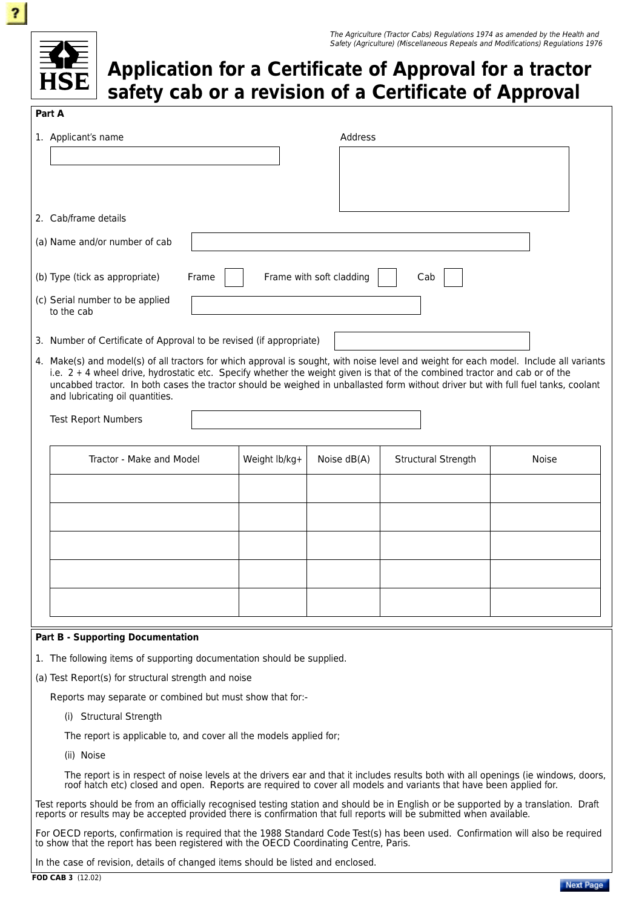

## **Application for a Certificate of Approval for a tractor safety cab or a revision of a Certificate of Approval**

# **Part A**  1. Applicant's name **Address** 2. Cab/frame details (a) Name and/or number of cab (b) Type (tick as appropriate) Frame  $\vert \vert$  Frame with soft cladding  $\vert \vert$  Cab (c) Serial number to be applied to the cab 3. Number of Certificate of Approval to be revised (if appropriate) 4. Make(s) and model(s) of all tractors for which approval is sought, with noise level and weight for each model. Include all variants i.e.  $2 + 4$  wheel drive, hydrostatic etc. Specify whether the weight given is that of the combined tractor and cab or of the uncabbed tractor. In both cases the tractor should be weighed in unballasted form without driver but with full fuel tanks, coolant and lubricating oil quantities. Test Report Numbers Tractor - Make and Model  $\vert$  Weight lb/kg+  $\vert$  Noise dB(A) Structural Strength Noise **Part B - Supporting Documentation**  1. The following items of supporting documentation should be supplied. (a) Test Report(s) for structural strength and noise

Reports may separate or combined but must show that for:-

(i) Structural Strength

The report is applicable to, and cover all the models applied for;

(ii) Noise

The report is in respect of noise levels at the drivers ear and that it includes results both with all openings (ie windows, doors, roof hatch etc) closed and open. Reports are required to cover all models and variants that have been applied for.

Test reports should be from an officially recognised testing station and should be in English or be supported by a translation. Draft reports or results may be accepted provided there is confirmation that full reports will be submitted when available.

For OECD reports, confirmation is required that the 1988 Standard Code Test(s) has been used. Confirmation will also be required to show that the report has been registered with the OECD Coordinating Centre, Paris.

In the case of revision, details of changed items should be listed and enclosed.

**FOD CAB 3** (12.02)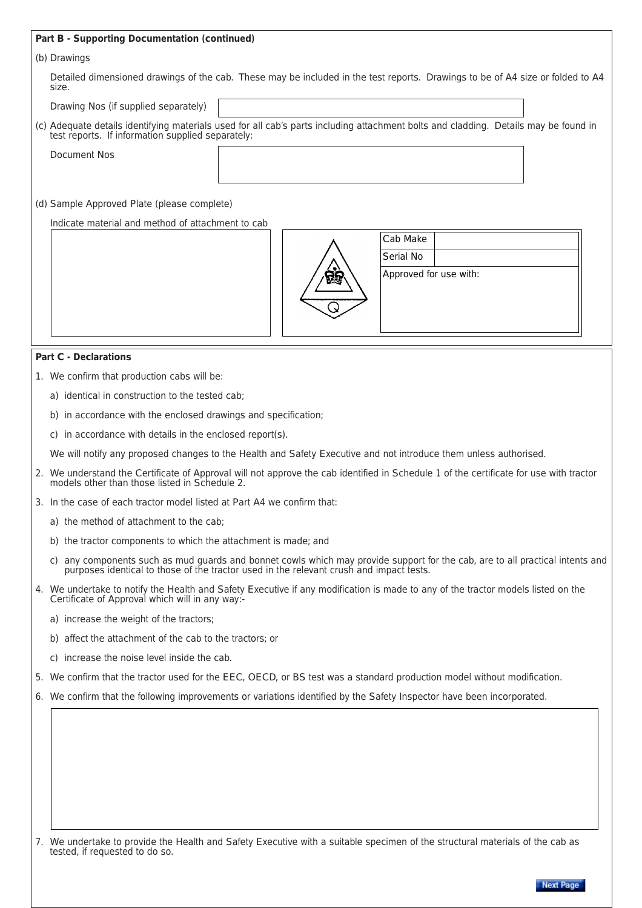#### **Part B - Supporting Documentation (continued)**

#### (b) Drawings

Detailed dimensioned drawings of the cab. These may be included in the test reports. Drawings to be of A4 size or folded to A4 size.

Drawing Nos (if supplied separately)

| (c) Adequate details identifying materials used for all cab's parts including attachment bolts and cladding. Details may be found in<br>test reports. If information supplied separately: |  |  |
|-------------------------------------------------------------------------------------------------------------------------------------------------------------------------------------------|--|--|
| Document Nos                                                                                                                                                                              |  |  |

### (d) Sample Approved Plate (please complete)

Indicate material and method of attachment to cab



| Cab Make               |  |  |
|------------------------|--|--|
| Serial No              |  |  |
| Approved for use with: |  |  |

#### **Part C - Declarations**

- 1. We confirm that production cabs will be:
	- a) identical in construction to the tested cab;
	- b) in accordance with the enclosed drawings and specification;
	- c) in accordance with details in the enclosed report(s).

We will notify any proposed changes to the Health and Safety Executive and not introduce them unless authorised.

- 2. We understand the Certificate of Approval will not approve the cab identified in Schedule 1 of the certificate for use with tractor models other than those listed in Schedule 2.
- 3. In the case of each tractor model listed at Part A4 we confirm that:
	- a) the method of attachment to the cab;
	- b) the tractor components to which the attachment is made; and
	- c) any components such as mud guards and bonnet cowls which may provide support for the cab, are to all practical intents and purposes identical to those of the tractor used in the relevant crush and impact tests.
- 4. We undertake to notify the Health and Safety Executive if any modification is made to any of the tractor models listed on the Certificate of Approval which will in any way:
	- a) increase the weight of the tractors;
	- b) affect the attachment of the cab to the tractors; or
	- c) increase the noise level inside the cab.
- 5. We confirm that the tractor used for the EEC, OECD, or BS test was a standard production model without modification.
- 6. We confirm that the following improvements or variations identified by the Safety Inspector have been incorporated.

7. We undertake to provide the Health and Safety Executive with a suitable specimen of the structural materials of the cab as tested, if requested to do so.